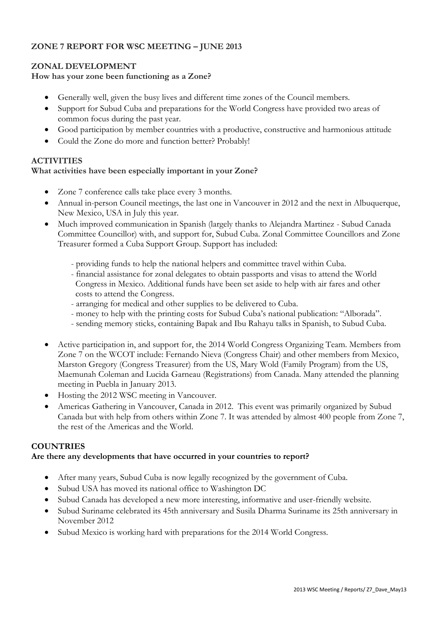# **ZONE 7 REPORT FOR WSC MEETING – JUNE 2013**

## **ZONAL DEVELOPMENT**

## **How has your zone been functioning as a Zone?**

- Generally well, given the busy lives and different time zones of the Council members.
- Support for Subud Cuba and preparations for the World Congress have provided two areas of common focus during the past year.
- Good participation by member countries with a productive, constructive and harmonious attitude
- Could the Zone do more and function better? Probably!

## **ACTIVITIES**

## **What activities have been especially important in your Zone?**

- Zone 7 conference calls take place every 3 months.
- Annual in-person Council meetings, the last one in Vancouver in 2012 and the next in Albuquerque, New Mexico, USA in July this year.
- Much improved communication in Spanish (largely thanks to Alejandra Martinez Subud Canada Committee Councillor) with, and support for, Subud Cuba. Zonal Committee Councillors and Zone Treasurer formed a Cuba Support Group. Support has included:
	- providing funds to help the national helpers and committee travel within Cuba.
	- financial assistance for zonal delegates to obtain passports and visas to attend the World Congress in Mexico. Additional funds have been set aside to help with air fares and other costs to attend the Congress.
	- arranging for medical and other supplies to be delivered to Cuba.
	- money to help with the printing costs for Subud Cuba's national publication: "Alborada".
	- sending memory sticks, containing Bapak and Ibu Rahayu talks in Spanish, to Subud Cuba.
- Active participation in, and support for, the 2014 World Congress Organizing Team. Members from Zone 7 on the WCOT include: Fernando Nieva (Congress Chair) and other members from Mexico, Marston Gregory (Congress Treasurer) from the US, Mary Wold (Family Program) from the US, Maemunah Coleman and Lucida Garneau (Registrations) from Canada. Many attended the planning meeting in Puebla in January 2013.
- Hosting the 2012 WSC meeting in Vancouver.
- Americas Gathering in Vancouver, Canada in 2012. This event was primarily organized by Subud Canada but with help from others within Zone 7. It was attended by almost 400 people from Zone 7, the rest of the Americas and the World.

#### **COUNTRIES**

#### **Are there any developments that have occurred in your countries to report?**

- After many years, Subud Cuba is now legally recognized by the government of Cuba.
- Subud USA has moved its national office to Washington DC
- Subud Canada has developed a new more interesting, informative and user-friendly website.
- Subud Suriname celebrated its 45th anniversary and Susila Dharma Suriname its 25th anniversary in November 2012
- Subud Mexico is working hard with preparations for the 2014 World Congress.